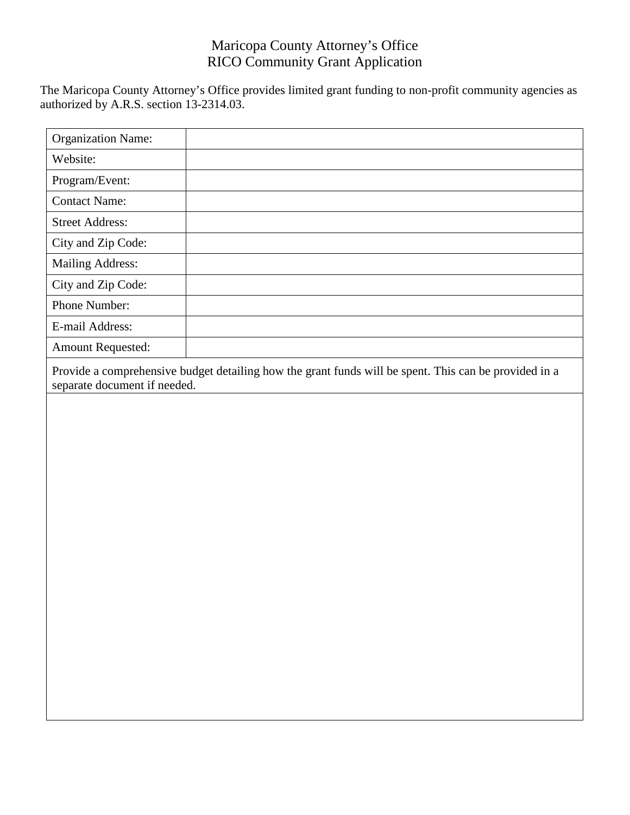The Maricopa County Attorney's Office provides limited grant funding to non-profit community agencies as authorized by A.R.S. section 13-2314.03.

| <b>Organization Name:</b>                                                                                                             |  |
|---------------------------------------------------------------------------------------------------------------------------------------|--|
| Website:                                                                                                                              |  |
| Program/Event:                                                                                                                        |  |
| <b>Contact Name:</b>                                                                                                                  |  |
| <b>Street Address:</b>                                                                                                                |  |
| City and Zip Code:                                                                                                                    |  |
| <b>Mailing Address:</b>                                                                                                               |  |
| City and Zip Code:                                                                                                                    |  |
| Phone Number:                                                                                                                         |  |
| E-mail Address:                                                                                                                       |  |
| <b>Amount Requested:</b>                                                                                                              |  |
| Provide a comprehensive budget detailing how the grant funds will be spent. This can be provided in a<br>separate document if needed. |  |
|                                                                                                                                       |  |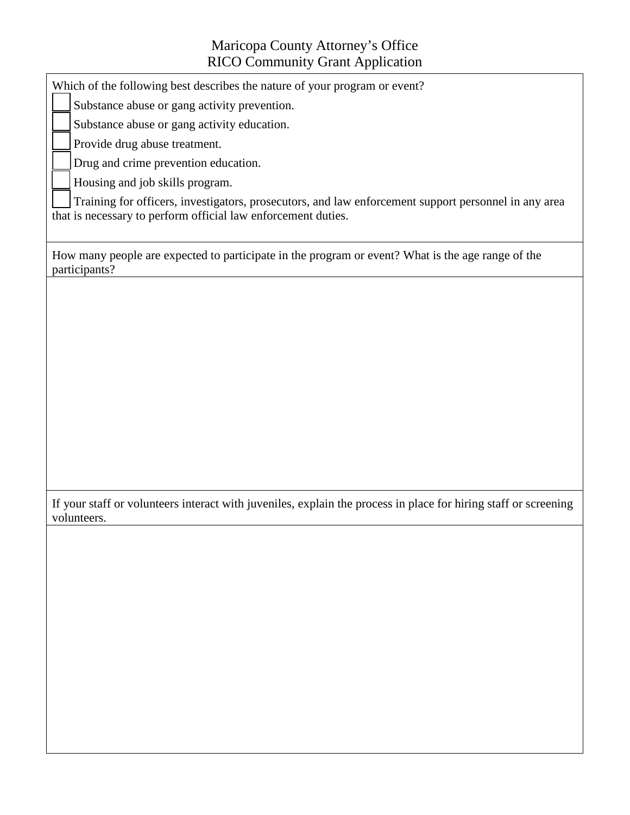Which of the following best describes the nature of your program or event?

Substance abuse or gang activity prevention.

Substance abuse or gang activity education.

Provide drug abuse treatment.

Drug and crime prevention education.

Housing and job skills program.

Training for officers, investigators, prosecutors, and law enforcement support personnel in any area that is necessary to perform official law enforcement duties.

How many people are expected to participate in the program or event? What is the age range of the participants?

If your staff or volunteers interact with juveniles, explain the process in place for hiring staff or screening volunteers.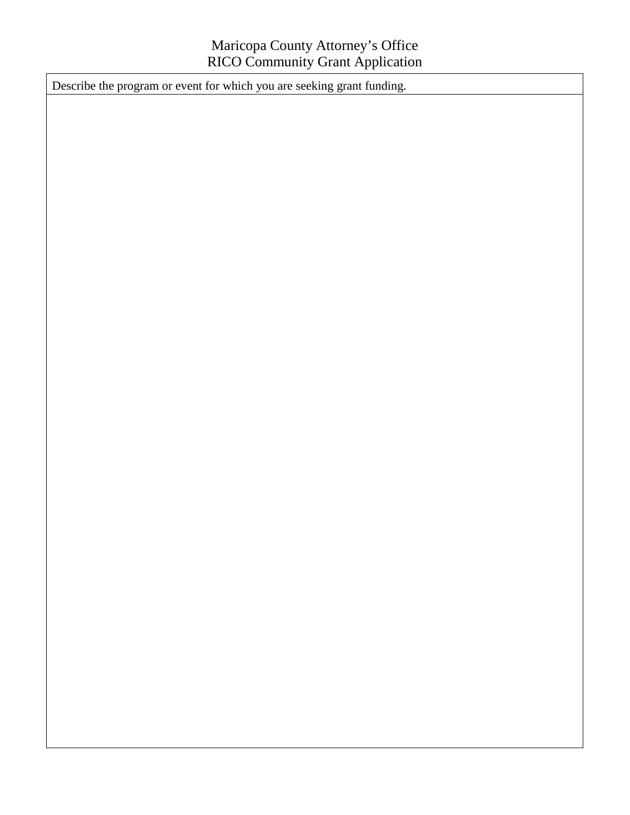Describe the program or event for which you are seeking grant funding.